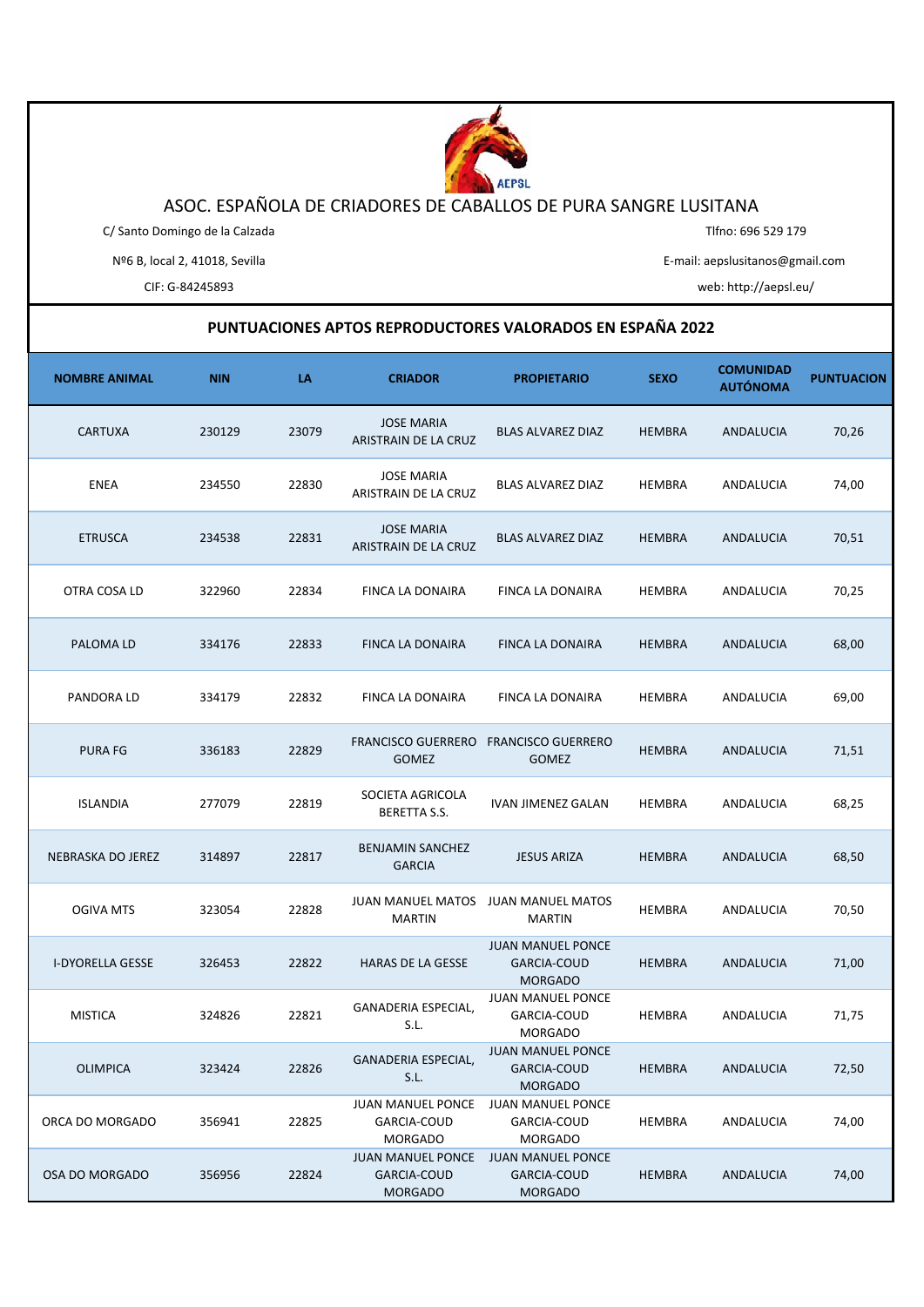

## ASOC. ESPAÑOLA DE CRIADORES DE CABALLOS DE PURA SANGRE LUSITANA

C/ Santo Domingo de la Calzada

Tlfno: 696 529 179

Nº6 B, local 2, 41018, Sevilla

E‐mail: aepslusitanos@gmail.com

CIF: G‐84245893 web: http://aepsl.eu/

## **PUNTUACIONES APTOS REPRODUCTORES VALORADOS EN ESPAÑA 2022**

| <b>NOMBRE ANIMAL</b>    | <b>NIN</b> | LA    | <b>CRIADOR</b>                                            | <b>PROPIETARIO</b>                                               | <b>SEXO</b>   | <b>COMUNIDAD</b><br><b>AUTÓNOMA</b> | <b>PUNTUACION</b> |
|-------------------------|------------|-------|-----------------------------------------------------------|------------------------------------------------------------------|---------------|-------------------------------------|-------------------|
| CARTUXA                 | 230129     | 23079 | <b>JOSE MARIA</b><br>ARISTRAIN DE LA CRUZ                 | BLAS ALVAREZ DIAZ                                                | HEMBRA        | ANDALUCIA                           | 70,26             |
| <b>ENEA</b>             | 234550     | 22830 | <b>JOSE MARIA</b><br>ARISTRAIN DE LA CRUZ                 | BLAS ALVAREZ DIAZ                                                | HEMBRA        | ANDALUCIA                           | 74,00             |
| <b>ETRUSCA</b>          | 234538     | 22831 | <b>JOSE MARIA</b><br>ARISTRAIN DE LA CRUZ                 | <b>BLAS ALVAREZ DIAZ</b>                                         | <b>HEMBRA</b> | ANDALUCIA                           | 70,51             |
| OTRA COSA LD            | 322960     | 22834 | FINCA LA DONAIRA                                          | FINCA LA DONAIRA                                                 | HEMBRA        | ANDALUCIA                           | 70,25             |
| PALOMA LD               | 334176     | 22833 | <b>FINCA LA DONAIRA</b>                                   | <b>FINCA LA DONAIRA</b>                                          | <b>HEMBRA</b> | ANDALUCIA                           | 68,00             |
| PANDORA LD              | 334179     | 22832 | FINCA LA DONAIRA                                          | FINCA LA DONAIRA                                                 | HEMBRA        | ANDALUCIA                           | 69,00             |
| PURA FG                 | 336183     | 22829 | <b>FRANCISCO GUERRERO</b><br><b>GOMEZ</b>                 | <b>FRANCISCO GUERRERO</b><br><b>GOMEZ</b>                        | <b>HEMBRA</b> | ANDALUCIA                           | 71,51             |
| <b>ISLANDIA</b>         | 277079     | 22819 | SOCIETA AGRICOLA<br>BERETTA S.S.                          | IVAN JIMENEZ GALAN                                               | HEMBRA        | ANDALUCIA                           | 68,25             |
| NEBRASKA DO JEREZ       | 314897     | 22817 | <b>BENJAMIN SANCHEZ</b><br><b>GARCIA</b>                  | <b>JESUS ARIZA</b>                                               | <b>HEMBRA</b> | ANDALUCIA                           | 68,50             |
| <b>OGIVA MTS</b>        | 323054     | 22828 | JUAN MANUEL MATOS<br><b>MARTIN</b>                        | JUAN MANUEL MATOS<br><b>MARTIN</b>                               | HEMBRA        | ANDALUCIA                           | 70,50             |
| <b>I-DYORELLA GESSE</b> | 326453     | 22822 | <b>HARAS DE LA GESSE</b>                                  | <b>JUAN MANUEL PONCE</b><br>GARCIA-COUD<br><b>MORGADO</b>        | <b>HEMBRA</b> | ANDALUCIA                           | 71,00             |
| <b>MISTICA</b>          | 324826     | 22821 | GANADERIA ESPECIAL,<br>S.L.                               | <b>JUAN MANUEL PONCE</b><br>GARCIA-COUD<br><b>MORGADO</b>        | <b>HEMBRA</b> | ANDALUCIA                           | 71,75             |
| <b>OLIMPICA</b>         | 323424     | 22826 | GANADERIA ESPECIAL,<br>S.L.                               | JUAN MANUEL PONCE<br>GARCIA-COUD<br><b>MORGADO</b>               | <b>HEMBRA</b> | ANDALUCIA                           | 72,50             |
| ORCA DO MORGADO         | 356941     | 22825 | JUAN MANUEL PONCE<br>GARCIA-COUD<br>MORGADO               | <b>JUAN MANUEL PONCE</b><br>GARCIA-COUD<br><b>MORGADO</b>        | <b>HEMBRA</b> | ANDALUCIA                           | 74,00             |
| OSA DO MORGADO          | 356956     | 22824 | <b>JUAN MANUEL PONCE</b><br>GARCIA-COUD<br><b>MORGADO</b> | <b>JUAN MANUEL PONCE</b><br><b>GARCIA-COUD</b><br><b>MORGADO</b> | <b>HEMBRA</b> | ANDALUCIA                           | 74,00             |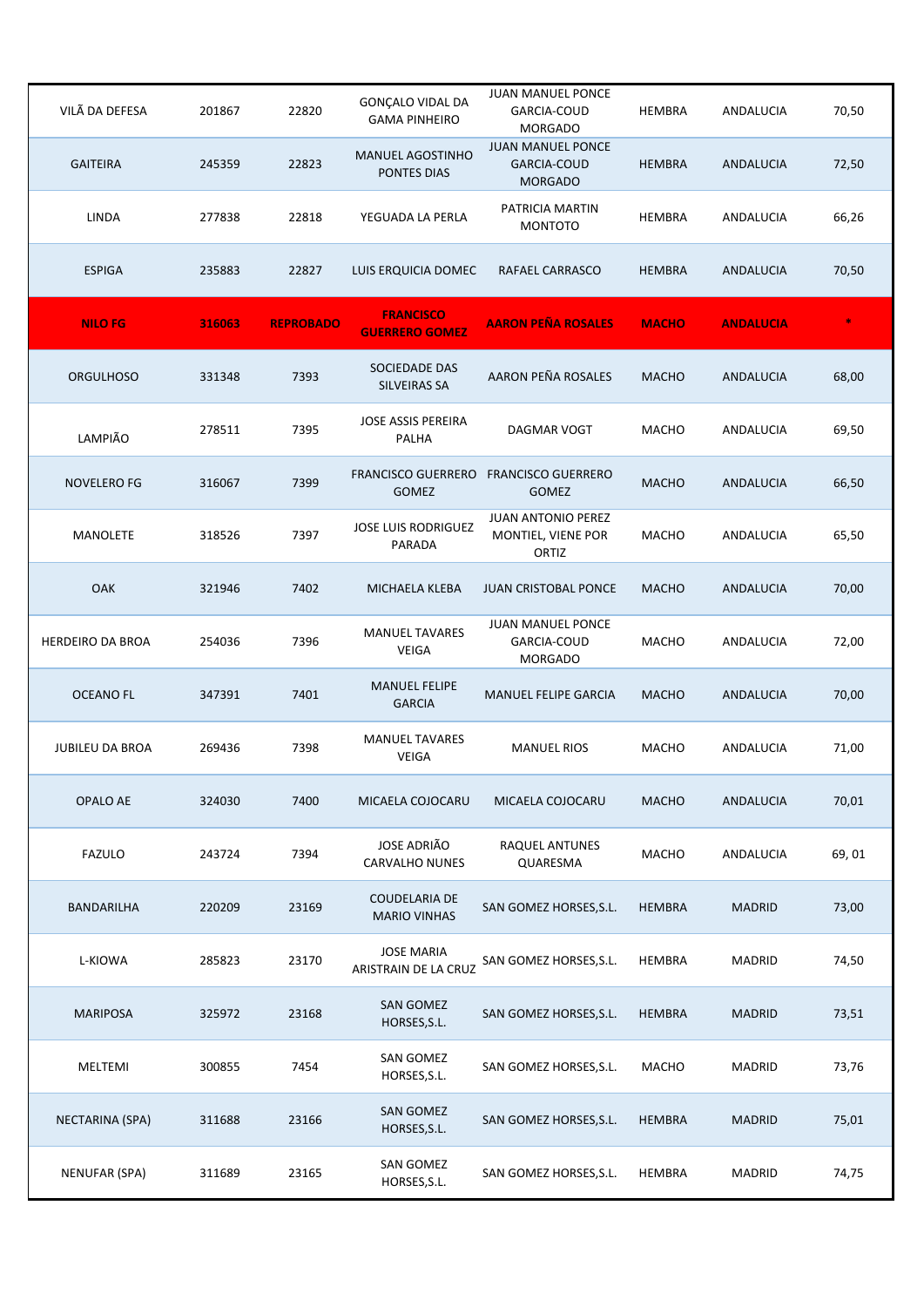| VILÃ DA DEFESA          | 201867 | 22820            | GONÇALO VIDAL DA<br><b>GAMA PINHEIRO</b>    | JUAN MANUEL PONCE<br>GARCIA-COUD<br><b>MORGADO</b>               | HEMBRA        | ANDALUCIA        | 70,50 |
|-------------------------|--------|------------------|---------------------------------------------|------------------------------------------------------------------|---------------|------------------|-------|
| <b>GAITEIRA</b>         | 245359 | 22823            | <b>MANUEL AGOSTINHO</b><br>PONTES DIAS      | <b>JUAN MANUEL PONCE</b><br><b>GARCIA-COUD</b><br><b>MORGADO</b> | <b>HEMBRA</b> | ANDALUCIA        | 72,50 |
| <b>LINDA</b>            | 277838 | 22818            | YEGUADA LA PERLA                            | PATRICIA MARTIN<br><b>MONTOTO</b>                                | HEMBRA        | ANDALUCIA        | 66,26 |
| <b>ESPIGA</b>           | 235883 | 22827            | LUIS ERQUICIA DOMEC                         | RAFAEL CARRASCO                                                  | <b>HEMBRA</b> | ANDALUCIA        | 70,50 |
| <b>NILO FG</b>          | 316063 | <b>REPROBADO</b> | <b>FRANCISCO</b><br><b>GUERRERO GOMEZ</b>   | <b>AARON PEÑA ROSALES</b>                                        | <b>MACHO</b>  | <b>ANDALUCIA</b> |       |
| <b>ORGULHOSO</b>        | 331348 | 7393             | SOCIEDADE DAS<br><b>SILVEIRAS SA</b>        | AARON PEÑA ROSALES                                               | <b>MACHO</b>  | ANDALUCIA        | 68,00 |
| LAMPIÃO                 | 278511 | 7395             | <b>JOSE ASSIS PEREIRA</b><br>PALHA          | <b>DAGMAR VOGT</b>                                               | <b>MACHO</b>  | ANDALUCIA        | 69,50 |
| NOVELERO FG             | 316067 | 7399             | <b>FRANCISCO GUERRERO</b><br><b>GOMEZ</b>   | <b>FRANCISCO GUERRERO</b><br><b>GOMEZ</b>                        | <b>MACHO</b>  | ANDALUCIA        | 66,50 |
| <b>MANOLETE</b>         | 318526 | 7397             | JOSE LUIS RODRIGUEZ<br>PARADA               | <b>JUAN ANTONIO PEREZ</b><br>MONTIEL, VIENE POR<br>ORTIZ         | MACHO         | ANDALUCIA        | 65,50 |
| <b>OAK</b>              | 321946 | 7402             | MICHAELA KLEBA                              | <b>JUAN CRISTOBAL PONCE</b>                                      | <b>MACHO</b>  | ANDALUCIA        | 70,00 |
| <b>HERDEIRO DA BROA</b> | 254036 | 7396             | <b>MANUEL TAVARES</b><br>VEIGA              | JUAN MANUEL PONCE<br>GARCIA-COUD<br><b>MORGADO</b>               | <b>MACHO</b>  | ANDALUCIA        | 72,00 |
| <b>OCEANO FL</b>        | 347391 | 7401             | <b>MANUEL FELIPE</b><br><b>GARCIA</b>       | <b>MANUEL FELIPE GARCIA</b>                                      | <b>MACHO</b>  | ANDALUCIA        | 70,00 |
| <b>JUBILEU DA BROA</b>  | 269436 | 7398             | <b>MANUEL TAVARES</b><br>VEIGA              | <b>MANUEL RIOS</b>                                               | <b>MACHO</b>  | ANDALUCIA        | 71,00 |
| <b>OPALO AE</b>         | 324030 | 7400             | MICAELA COJOCARU                            | MICAELA COJOCARU                                                 | <b>MACHO</b>  | ANDALUCIA        | 70,01 |
| <b>FAZULO</b>           | 243724 | 7394             | <b>JOSE ADRIÃO</b><br><b>CARVALHO NUNES</b> | RAQUEL ANTUNES<br>QUARESMA                                       | MACHO         | ANDALUCIA        | 69,01 |
| BANDARILHA              | 220209 | 23169            | <b>COUDELARIA DE</b><br><b>MARIO VINHAS</b> | SAN GOMEZ HORSES, S.L.                                           | <b>HEMBRA</b> | <b>MADRID</b>    | 73,00 |
| L-KIOWA                 | 285823 | 23170            | <b>JOSE MARIA</b><br>ARISTRAIN DE LA CRUZ   | SAN GOMEZ HORSES, S.L.                                           | HEMBRA        | <b>MADRID</b>    | 74,50 |
| <b>MARIPOSA</b>         | 325972 | 23168            | SAN GOMEZ<br>HORSES, S.L.                   | SAN GOMEZ HORSES, S.L.                                           | <b>HEMBRA</b> | <b>MADRID</b>    | 73,51 |
| MELTEMI                 | 300855 | 7454             | SAN GOMEZ<br>HORSES, S.L.                   | SAN GOMEZ HORSES, S.L.                                           | MACHO         | MADRID           | 73,76 |
| NECTARINA (SPA)         | 311688 | 23166            | SAN GOMEZ<br>HORSES, S.L.                   | SAN GOMEZ HORSES, S.L.                                           | <b>HEMBRA</b> | <b>MADRID</b>    | 75,01 |
| NENUFAR (SPA)           | 311689 | 23165            | SAN GOMEZ<br>HORSES, S.L.                   | SAN GOMEZ HORSES, S.L.                                           | <b>HEMBRA</b> | MADRID           | 74,75 |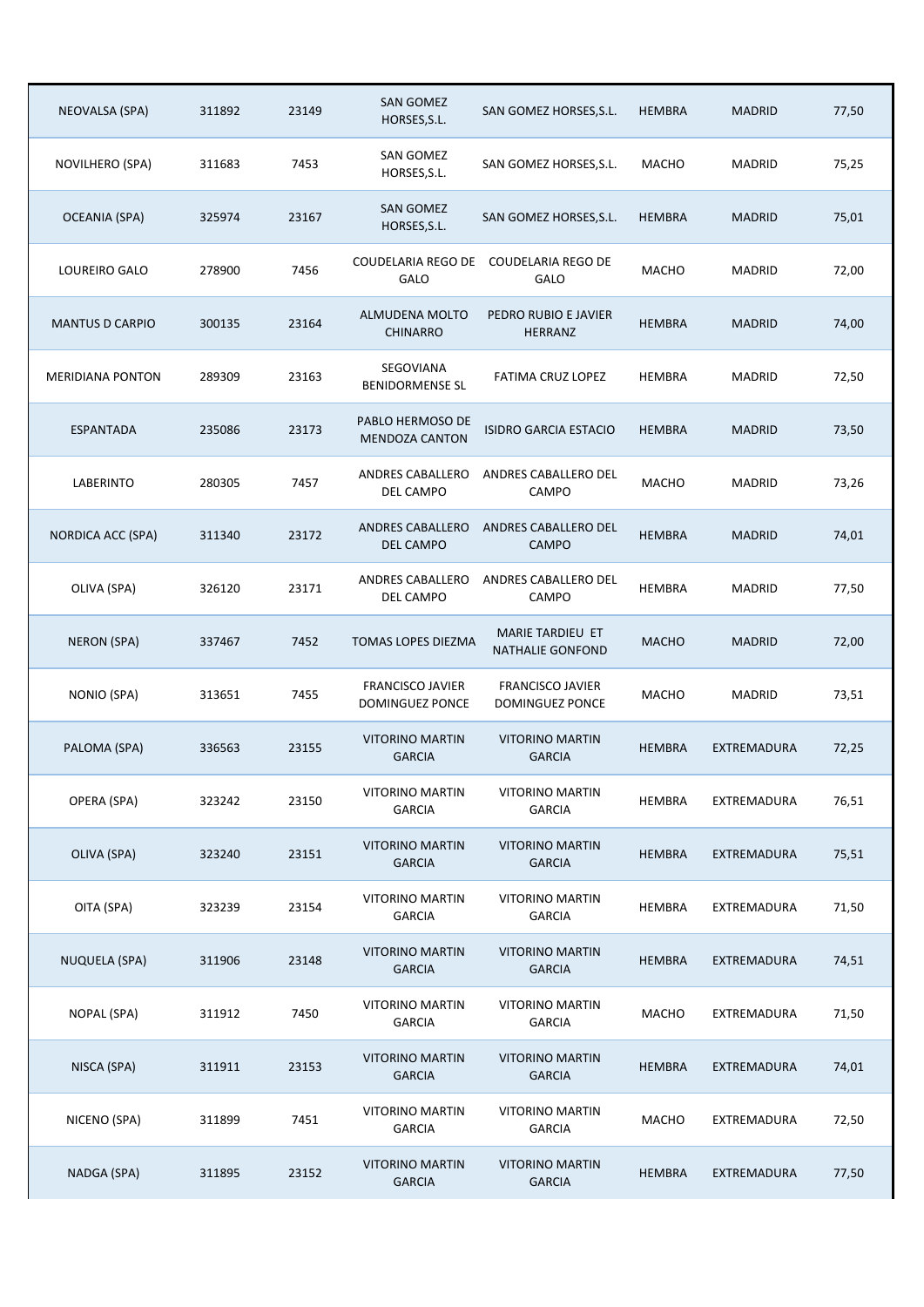| NEOVALSA (SPA)          | 311892 | 23149 | <b>SAN GOMEZ</b><br>HORSES, S.L.           | SAN GOMEZ HORSES, S.L.                      | <b>HEMBRA</b> | <b>MADRID</b> | 77,50 |
|-------------------------|--------|-------|--------------------------------------------|---------------------------------------------|---------------|---------------|-------|
| NOVILHERO (SPA)         | 311683 | 7453  | SAN GOMEZ<br>HORSES, S.L.                  | SAN GOMEZ HORSES, S.L.                      | MACHO         | <b>MADRID</b> | 75,25 |
| <b>OCEANIA (SPA)</b>    | 325974 | 23167 | <b>SAN GOMEZ</b><br>HORSES, S.L.           | SAN GOMEZ HORSES, S.L.                      | <b>HEMBRA</b> | <b>MADRID</b> | 75,01 |
| LOUREIRO GALO           | 278900 | 7456  | COUDELARIA REGO DE<br>GALO                 | <b>COUDELARIA REGO DE</b><br>GALO           | <b>MACHO</b>  | <b>MADRID</b> | 72,00 |
| <b>MANTUS D CARPIO</b>  | 300135 | 23164 | ALMUDENA MOLTO<br><b>CHINARRO</b>          | PEDRO RUBIO E JAVIER<br><b>HERRANZ</b>      | <b>HEMBRA</b> | <b>MADRID</b> | 74,00 |
| <b>MERIDIANA PONTON</b> | 289309 | 23163 | SEGOVIANA<br><b>BENIDORMENSE SL</b>        | FATIMA CRUZ LOPEZ                           | <b>HEMBRA</b> | <b>MADRID</b> | 72,50 |
| <b>ESPANTADA</b>        | 235086 | 23173 | PABLO HERMOSO DE<br><b>MENDOZA CANTON</b>  | <b>ISIDRO GARCIA ESTACIO</b>                | <b>HEMBRA</b> | <b>MADRID</b> | 73,50 |
| LABERINTO               | 280305 | 7457  | ANDRES CABALLERO<br>DEL CAMPO              | ANDRES CABALLERO DEL<br><b>CAMPO</b>        | <b>MACHO</b>  | MADRID        | 73,26 |
| NORDICA ACC (SPA)       | 311340 | 23172 | ANDRES CABALLERO<br><b>DEL CAMPO</b>       | ANDRES CABALLERO DEL<br>CAMPO               | <b>HEMBRA</b> | <b>MADRID</b> | 74,01 |
| OLIVA (SPA)             | 326120 | 23171 | ANDRES CABALLERO<br>DEL CAMPO              | ANDRES CABALLERO DEL<br>CAMPO               | <b>HEMBRA</b> | <b>MADRID</b> | 77,50 |
| <b>NERON (SPA)</b>      | 337467 | 7452  | TOMAS LOPES DIEZMA                         | MARIE TARDIEU ET<br><b>NATHALIE GONFOND</b> | <b>MACHO</b>  | <b>MADRID</b> | 72,00 |
| NONIO (SPA)             | 313651 | 7455  | <b>FRANCISCO JAVIER</b><br>DOMINGUEZ PONCE | <b>FRANCISCO JAVIER</b><br>DOMINGUEZ PONCE  | <b>MACHO</b>  | <b>MADRID</b> | 73,51 |
| PALOMA (SPA)            | 336563 | 23155 | <b>VITORINO MARTIN</b><br><b>GARCIA</b>    | <b>VITORINO MARTIN</b><br><b>GARCIA</b>     | <b>HEMBRA</b> | EXTREMADURA   | 72,25 |
| OPERA (SPA)             | 323242 | 23150 | <b>VITORINO MARTIN</b><br><b>GARCIA</b>    | <b>VITORINO MARTIN</b><br><b>GARCIA</b>     | HEMBRA        | EXTREMADURA   | 76,51 |
| OLIVA (SPA)             | 323240 | 23151 | <b>VITORINO MARTIN</b><br><b>GARCIA</b>    | <b>VITORINO MARTIN</b><br><b>GARCIA</b>     | <b>HEMBRA</b> | EXTREMADURA   | 75,51 |
| OITA (SPA)              | 323239 | 23154 | <b>VITORINO MARTIN</b><br><b>GARCIA</b>    | <b>VITORINO MARTIN</b><br><b>GARCIA</b>     | <b>HEMBRA</b> | EXTREMADURA   | 71,50 |
| <b>NUQUELA (SPA)</b>    | 311906 | 23148 | <b>VITORINO MARTIN</b><br><b>GARCIA</b>    | <b>VITORINO MARTIN</b><br><b>GARCIA</b>     | <b>HEMBRA</b> | EXTREMADURA   | 74,51 |
| NOPAL (SPA)             | 311912 | 7450  | <b>VITORINO MARTIN</b><br><b>GARCIA</b>    | <b>VITORINO MARTIN</b><br><b>GARCIA</b>     | MACHO         | EXTREMADURA   | 71,50 |
| NISCA (SPA)             | 311911 | 23153 | <b>VITORINO MARTIN</b><br><b>GARCIA</b>    | <b>VITORINO MARTIN</b><br><b>GARCIA</b>     | <b>HEMBRA</b> | EXTREMADURA   | 74,01 |
| NICENO (SPA)            | 311899 | 7451  | <b>VITORINO MARTIN</b><br><b>GARCIA</b>    | <b>VITORINO MARTIN</b><br><b>GARCIA</b>     | MACHO         | EXTREMADURA   | 72,50 |
| NADGA (SPA)             | 311895 | 23152 | <b>VITORINO MARTIN</b><br><b>GARCIA</b>    | <b>VITORINO MARTIN</b><br><b>GARCIA</b>     | <b>HEMBRA</b> | EXTREMADURA   | 77,50 |